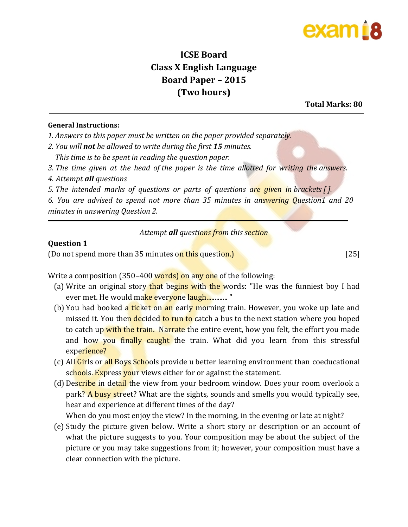### exam í 8

### **ICSE Board Class X English Language Board Paper – 2015 (Two hours)**

**Total Marks: 80** 

#### **General Instructions:**

*1. Answers to this paper must be written on the paper provided separately.*

*2. You will not be allowed to write during the first 15 minutes.*

*This time is to be spent in reading the question paper.*

- *3. The time given at the head of the paper is the time allotted for writing the answers.*
- *4. Attempt all questions*

*5. The intended marks of questions or parts of questions are given in brackets [ ].*

*6. You are advised to spend not more than 35 minutes in answering Question1 and 20 minutes in answering Question 2.*

*Attempt all questions from this section* 

#### **Question 1**

(Do not spend more than 35 minutes on this question.) [25]

Write a composition (350–400 words) on any one of the following:

- (a) Write an original story that begins with the words: "He was the funniest boy I had ever met. He would make everyone laugh............. "
- (b) You had booked a *ticket* on an early morning train. However, you woke up late and missed it. You then decided to run to catch a bus to the next station where you hoped to catch up with the train. Narrate the entire event, how you felt, the effort you made and how you finally caught the train. What did you learn from this stressful experience?
- (c) All Girls or all Boys Schools provide u better learning environment than coeducational schools. Express your views either for or against the statement.
- (d) Describe in detail the view from your bedroom window. Does your room overlook a park? A busy street? What are the sights, sounds and smells you would typically see, hear and experience at different times of the day?

When do you most enjoy the view? In the morning, in the evening or late at night?

(e) Study the picture given below. Write a short story or description or an account of what the picture suggests to you. Your composition may be about the subject of the picture or you may take suggestions from it; however, your composition must have a clear connection with the picture.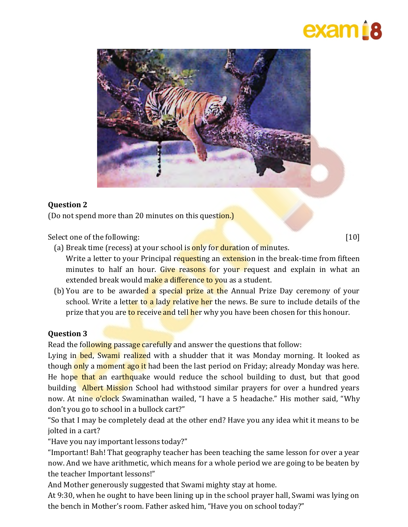# exam 18



#### **Question 2**

(Do not spend more than 20 minutes on this question.)

Select one of the following: [10]

(a) Break time (recess) at your school is only for duration of minutes.

Write a letter to your Principal requesting an extension in the break-time from fifteen minutes to half an hour. Give reasons for your request and explain in what an extended break would make a difference to you as a student.

(b) You are to be awarded a special prize at the Annual Prize Day ceremony of your school. Write a letter to a lady relative her the news. Be sure to include details of the prize that you are to receive and tell her why you have been chosen for this honour.

#### **Question 3**

Read the following passage carefully and answer the questions that follow:

Lying in **bed, Swami** realized with a shudder that it was Monday morning. It looked as though only a moment ago it had been the last period on Friday; already Monday was here. He hope that an earthquake would reduce the school building to dust, but that good building **Albert Mission** School had withstood similar prayers for over a hundred years now. At nine o'clock Swaminathan wailed, "I have a 5 headache." His mother said, "Why don't you go to school in a bullock cart?"

"So that I may be completely dead at the other end? Have you any idea whit it means to be jolted in a cart?

"Have you nay important lessons today?"

"Important! Bah! That geography teacher has been teaching the same lesson for over a year now. And we have arithmetic, which means for a whole period we are going to be beaten by the teacher Important lessons!"

And Mother generously suggested that Swami mighty stay at home.

At 9:30, when he ought to have been lining up in the school prayer hall, Swami was lying on the bench in Mother's room. Father asked him, "Have you on school today?"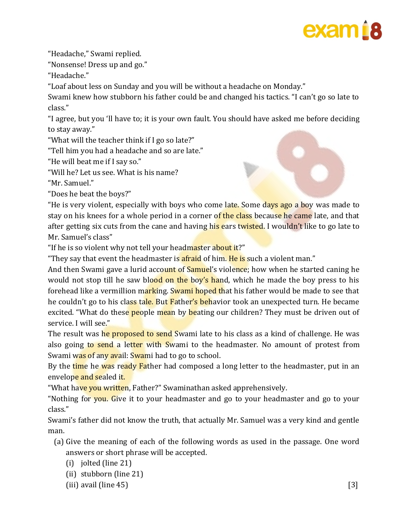

"Headache," Swami replied.

"Nonsense! Dress up and go."

"Headache."

"Loaf about less on Sunday and you will be without a headache on Monday."

Swami knew how stubborn his father could be and changed his tactics. "I can't go so late to class."

"I agree, but you 'll have to; it is your own fault. You should have asked me before deciding to stay away."

"What will the teacher think if I go so late?"

"Tell him you had a headache and so are late."

"He will beat me if I say so."

"Will he? Let us see. What is his name?

"Mr. Samuel."

"Does he beat the boys?"

"He is very violent, especially with boys who come late. Some days ago a boy was made to stay on his knees for a whole period in a corner of the class because he came late, and that after getting six cuts from the cane and having his ears twisted. I wouldn't like to go late to Mr. Samuel's class"

"If he is so violent why not tell your headmaster about it?"

"They say that event the headmaster is **afraid** of him. He is such a violent man."

And then Swami gave a lurid account of Samuel's violence; how when he started caning he would not stop till he saw blood on the boy's hand, which he made the boy press to his forehead like a vermillion marking. Swami hoped that his father would be made to see that he couldn't go to his class tale. But Father's behavior took an unexpected turn. He became excited. "What do these **people mean by be**ating our children? They must be driven out of service. I will see."

The result was he proposed to send Swami late to his class as a kind of challenge. He was also going to send a letter with Swami to the headmaster. No amount of protest from Swami was of any avail: Swami had to go to school.

By the time he was ready Father had composed a long letter to the headmaster, put in an envelope and sealed it.

"What have you written, Father?" Swaminathan asked apprehensively.

"Nothing for you. Give it to your headmaster and go to your headmaster and go to your class."

Swami's father did not know the truth, that actually Mr. Samuel was a very kind and gentle man.

- (a) Give the meaning of each of the following words as used in the passage. One word answers or short phrase will be accepted.
	- (i) jolted (line 21)
	- (ii) stubborn (line 21)
	- (iii) avail (line  $45$ ) [3]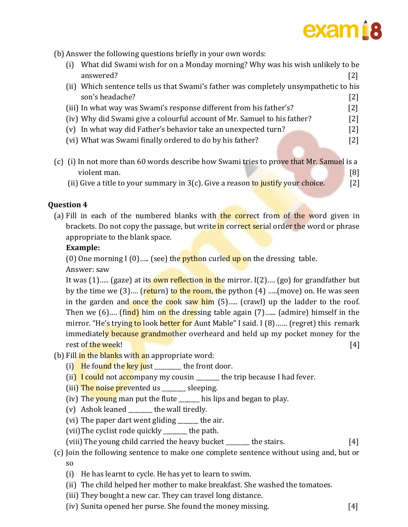# exam i 8

(b) Answer the following questions briefly in your own words:

| $\left(1\right)$ | What did Swami wish for on a Monday morning? Why was his wish unlikely to be    |                                                                                                                                                                                                                                                                                                                                                                                           |
|------------------|---------------------------------------------------------------------------------|-------------------------------------------------------------------------------------------------------------------------------------------------------------------------------------------------------------------------------------------------------------------------------------------------------------------------------------------------------------------------------------------|
|                  | answered?                                                                       | [2]                                                                                                                                                                                                                                                                                                                                                                                       |
| (ii)             | Which sentence tells us that Swami's father was completely unsympathetic to his |                                                                                                                                                                                                                                                                                                                                                                                           |
|                  | son's headache?                                                                 | [2]                                                                                                                                                                                                                                                                                                                                                                                       |
|                  |                                                                                 | [2]                                                                                                                                                                                                                                                                                                                                                                                       |
|                  |                                                                                 | [2]                                                                                                                                                                                                                                                                                                                                                                                       |
|                  |                                                                                 | [2]                                                                                                                                                                                                                                                                                                                                                                                       |
|                  |                                                                                 | [2]                                                                                                                                                                                                                                                                                                                                                                                       |
|                  |                                                                                 |                                                                                                                                                                                                                                                                                                                                                                                           |
|                  |                                                                                 |                                                                                                                                                                                                                                                                                                                                                                                           |
|                  |                                                                                 | [8]                                                                                                                                                                                                                                                                                                                                                                                       |
|                  |                                                                                 | (iii) In what way was Swami's response different from his father's?<br>(iv) Why did Swami give a colourful account of Mr. Samuel to his father?<br>(v) In what way did Father's behavior take an unexpected turn?<br>(vi) What was Swami finally ordered to do by his father?<br>(c) (i) In not more than 60 words describe how Swami tries to prove that Mr. Samuel is a<br>violent man. |

(ii) Give a title to your summary in  $3(c)$ . Give a reason to justify your choice.  $\lceil 2 \rceil$ 

#### **Question 4**

(a) Fill in each of the numbered blanks with the correct from of the word given in brackets. Do not copy the passage, but write in correct serial order the word or phrase appropriate to the blank space.

#### **Example:**

(0) One morning I (0)..... (see) the **python** curled up on the dressing table.

Answer: saw

It was  $(1)$ ..... (gaze) at its own reflection in the mirror. I(2).... (go) for grandfather but by the time we  $(3)$ .... (return) to the room, the python  $(4)$  .....(move) on. He was seen in the garden and once the cook saw him  $(5)$ ..... (crawl) up the ladder to the roof. Then we  $(6)$ .... (find) him on the dressing table again  $(7)$ ...... (admire) himself in the mirror. "He's trying to look better for Aunt Mable" I said. I (8)...... (regret) this remark immediately because grandmother overheard and held up my pocket money for the rest of the week!

- (b) Fill in the blanks with an appropriate word:
	- (i) He found the key just the front door.
	- (ii)  $I$  could not accompany my cousin  $\rule{1em}{0.15mm}$  the trip because I had fever.
	- (iii) The noise prevented us  $\qquad$  sleeping.
	- (iv) The young man put the flute \_\_\_\_\_\_ his lips and began to play.
	- (v) Ashok leaned \_\_\_\_\_\_\_\_ the wall tiredly.
	- (vi) The paper dart went gliding \_\_\_\_\_\_\_ the air.
	- (vii)The cyclist rode quickly \_\_\_\_\_\_\_\_ the path.
	- (viii) The young child carried the heavy bucket \_\_\_\_\_\_\_ the stairs. [4]

#### (c) Join the following sentence to make one complete sentence without using and, but or so

- (i) He has learnt to cycle. He has yet to learn to swim.
- (ii) The child helped her mother to make breakfast. She washed the tomatoes.
- (iii) They bought a new car. They can travel long distance.
- (iv) Sunita opened her purse. She found the money missing. [4]